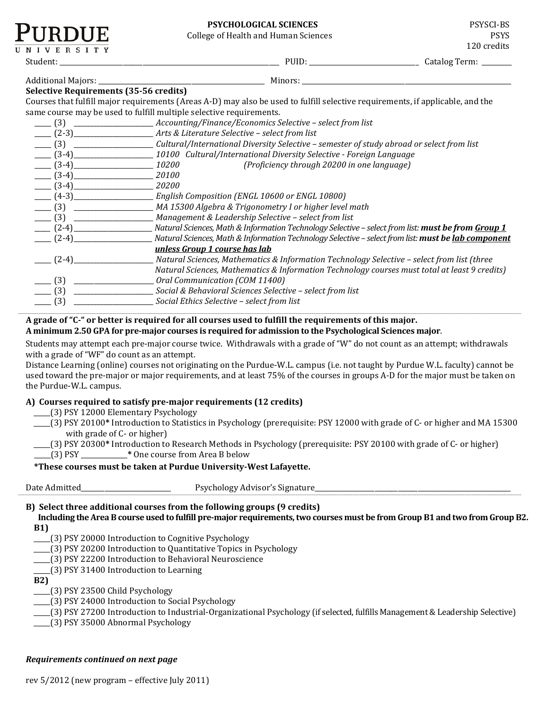| <b>PSYCHOLOGICAL SCIENCES</b> | <b>PSYSCI-BS</b> |
|-------------------------------|------------------|
|-------------------------------|------------------|

| NIVERSITY                                                                                                                                                                                                                                                                                     | F31 CHULUGICAL SCIENCES<br><b>College of Health and Human Sciences</b>                                                                            | <b>F</b> 21 JUI-DJ<br><b>PSYS</b><br>120 credits |
|-----------------------------------------------------------------------------------------------------------------------------------------------------------------------------------------------------------------------------------------------------------------------------------------------|---------------------------------------------------------------------------------------------------------------------------------------------------|--------------------------------------------------|
|                                                                                                                                                                                                                                                                                               |                                                                                                                                                   | Catalog Term: ______                             |
|                                                                                                                                                                                                                                                                                               |                                                                                                                                                   |                                                  |
| Selective Requirements (35-56 credits)                                                                                                                                                                                                                                                        |                                                                                                                                                   |                                                  |
|                                                                                                                                                                                                                                                                                               | Courses that fulfill major requirements (Areas A-D) may also be used to fulfill selective requirements, if applicable, and the                    |                                                  |
|                                                                                                                                                                                                                                                                                               | same course may be used to fulfill multiple selective requirements.                                                                               |                                                  |
|                                                                                                                                                                                                                                                                                               | ____ (3) _____________________Accounting/Finance/Economics Selective - select from list                                                           |                                                  |
|                                                                                                                                                                                                                                                                                               |                                                                                                                                                   |                                                  |
|                                                                                                                                                                                                                                                                                               | (3) _____________________Cultural/International Diversity Selective - semester of study abroad or select from list                                |                                                  |
|                                                                                                                                                                                                                                                                                               |                                                                                                                                                   |                                                  |
|                                                                                                                                                                                                                                                                                               | $(3-4)$ $10200$<br>(Proficiency through 20200 in one language)                                                                                    |                                                  |
| $\frac{1}{20100}$ (3-4)                                                                                                                                                                                                                                                                       |                                                                                                                                                   |                                                  |
| $\frac{1}{20200}$ (3-4)                                                                                                                                                                                                                                                                       |                                                                                                                                                   |                                                  |
|                                                                                                                                                                                                                                                                                               |                                                                                                                                                   |                                                  |
|                                                                                                                                                                                                                                                                                               | (3) __________________________MA 15300 Algebra & Trigonometry I or higher level math                                                              |                                                  |
|                                                                                                                                                                                                                                                                                               |                                                                                                                                                   |                                                  |
|                                                                                                                                                                                                                                                                                               | ____ (2-4) _____________________ Natural Sciences, Math & Information Technology Selective – select from list: <b>must be from <u>Group 1</u></b> |                                                  |
| $(2-4)$                                                                                                                                                                                                                                                                                       | Natural Sciences, Math & Information Technology Selective - select from list: must be lab component                                               |                                                  |
|                                                                                                                                                                                                                                                                                               | unless Group 1 course has lab                                                                                                                     |                                                  |
| $ (2-4)$                                                                                                                                                                                                                                                                                      | Natural Sciences, Mathematics & Information Technology Selective - select from list (three                                                        |                                                  |
|                                                                                                                                                                                                                                                                                               | Natural Sciences, Mathematics & Information Technology courses must total at least 9 credits)                                                     |                                                  |
| $\frac{1}{2}$ (3) $\frac{1}{2}$ (3) $\frac{1}{2}$ (3) $\frac{1}{2}$ (3) $\frac{1}{2}$ (3) $\frac{1}{2}$ (3) $\frac{1}{2}$ (3) $\frac{1}{2}$ (3) $\frac{1}{2}$ (3) $\frac{1}{2}$ (3) $\frac{1}{2}$ (3) $\frac{1}{2}$ (3) $\frac{1}{2}$ (3) $\frac{1}{2}$ (3) $\frac{1}{2}$ (3) $\frac{1}{2}$ ( | Oral Communication (COM 11400)                                                                                                                    |                                                  |
| $- (3)$                                                                                                                                                                                                                                                                                       | Social & Behavioral Sciences Selective - select from list                                                                                         |                                                  |
|                                                                                                                                                                                                                                                                                               |                                                                                                                                                   |                                                  |

\_\_\_\_\_ (3) *\_\_\_\_\_\_\_\_\_\_\_\_\_\_\_\_\_\_\_\_\_\_\_\_ Social Ethics Selective – select from list*

#### **A grade of "C-" or better is required for all courses used to fulfill the requirements of this major. A minimum 2.50 GPA for pre-major courses is required for admission to the Psychological Sciences major**.

Students may attempt each pre-major course twice. Withdrawals with a grade of "W" do not count as an attempt; withdrawals with a grade of "WF" do count as an attempt.

**............................................................................................................................................................................................................................................................................................................................................................................................................................................................................................................................................................................................................................................................................................................................................................................................................**

Distance Learning (online) courses not originating on the Purdue-W.L. campus (i.e. not taught by Purdue W.L. faculty) cannot be used toward the pre-major or major requirements, and at least 75% of the courses in groups A-D for the major must be taken on the Purdue-W.L. campus.

# **A) Courses required to satisfy pre-major requirements (12 credits)**

\_\_\_\_\_(3) PSY 12000 Elementary Psychology

- \_\_\_\_\_(3) PSY 20100**\*** Introduction to Statistics in Psychology (prerequisite: PSY 12000 with grade of C- or higher and MA 15300 with grade of C- or higher)
- \_\_\_\_\_(3) PSY 20300**\*** Introduction to Research Methods in Psychology (prerequisite: PSY 20100 with grade of C- or higher)

\_\_\_\_\_(3) PSY \_\_\_\_\_\_\_\_\_\_\_\_\_\_**\*** One course from Area B below

### **\*These courses must be taken at Purdue University-West Lafayette.**

- 
- Date Admitted\_\_\_\_\_\_\_\_\_\_\_\_\_\_\_\_\_\_\_\_\_\_\_\_\_\_\_ Psychology Advisor's Signature\_\_\_\_\_\_\_\_\_\_\_\_\_\_\_\_\_\_\_\_\_\_\_\_\_\_\_\_\_\_\_\_\_\_\_\_\_\_\_\_\_\_\_\_\_\_\_\_\_\_\_\_\_\_\_\_\_\_\_ **............................................................................................................................................................................................................................................................................................................................................................................................................................................................................................................................................................................................................................................................................................................................................................................................................**

# **B) Select three additional courses from the following groups (9 credits)**

- **Including the Area B course used to fulfill pre-major requirements, two courses must be from Group B1 and two from Group B2. B1)**
- \_\_\_\_\_(3) PSY 20000 Introduction to Cognitive Psychology
- \_\_\_\_\_(3) PSY 20200 Introduction to Quantitative Topics in Psychology
- \_\_\_\_\_(3) PSY 22200 Introduction to Behavioral Neuroscience
- \_\_\_\_\_(3) PSY 31400 Introduction to Learning
- **B2)**
- \_\_\_\_\_(3) PSY 23500 Child Psychology
- \_\_\_\_\_(3) PSY 24000 Introduction to Social Psychology

\_\_\_\_\_(3) PSY 27200 Introduction to Industrial-Organizational Psychology (if selected, fulfills Management & Leadership Selective)

\_\_\_\_\_(3) PSY 35000 Abnormal Psychology

### *Requirements continued on next page*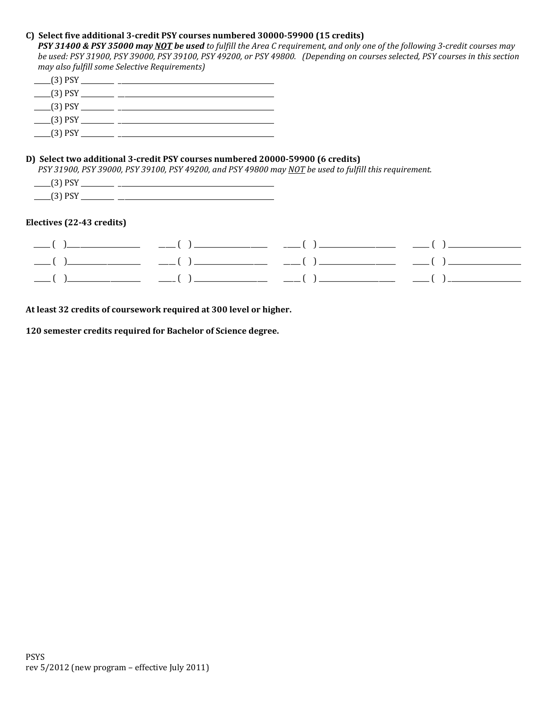# **C) Select five additional 3-credit PSY courses numbered 30000-59900 (15 credits)**

*PSY 31400 & PSY 35000 may NOT be used to fulfill the Area C requirement, and only one of the following 3-credit courses may be used: PSY 31900, PSY 39000, PSY 39100, PSY 49200, or PSY 49800. (Depending on courses selected, PSY courses in this section may also fulfill some Selective Requirements)*

| $(3)$ PSY             |  |
|-----------------------|--|
| $(3)$ PSY             |  |
| $\frac{1}{2}$ (3) PSY |  |
| $(3)$ PSY             |  |
| $(3)$ PSY             |  |
|                       |  |

### **D) Select two additional 3-credit PSY courses numbered 20000-59900 (6 credits)**

*PSY 31900, PSY 39000, PSY 39100, PSY 49200, and PSY 49800 may NOT be used to fulfill this requirement.*

| _____<br>____             |              |
|---------------------------|--------------|
| . .<br>_____<br>_________ | ______<br>__ |

# **Electives (22-43 credits)**

**At least 32 credits of coursework required at 300 level or higher.** 

**120 semester credits required for Bachelor of Science degree.**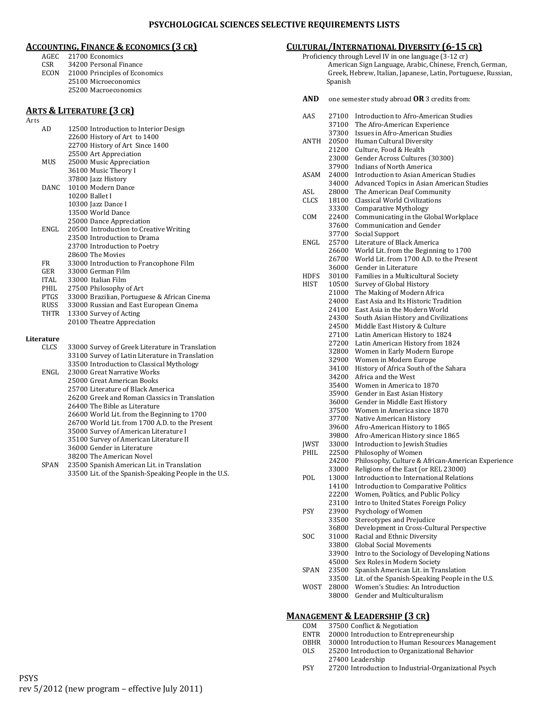# **ACCOUNTING, FINANCE & ECONOMICS (3 CR)**

- AGEC 21700 Economics<br>CSR 34200 Personal Fi
- 34200 Personal Finance ECON 21000 Principles of Economics
	- 25100 Microeconomics
		- 25200 Macroeconomics

# **ARTS & LITERATURE (3 CR)**

| Arts |             |                                                       |
|------|-------------|-------------------------------------------------------|
|      | AD          | 12500 Introduction to Interior Design                 |
|      |             | 22600 History of Art to 1400                          |
|      |             | 22700 History of Art Since 1400                       |
|      |             | 25500 Art Appreciation                                |
|      | MUS         | 25000 Music Appreciation                              |
|      |             | 36100 Music Theory I                                  |
|      |             | 37800 Jazz History                                    |
|      | DANC.       | 10100 Modern Dance                                    |
|      |             | 10200 Ballet I                                        |
|      |             | 10300 Jazz Dance I                                    |
|      |             | 13500 World Dance                                     |
|      |             | 25000 Dance Appreciation                              |
|      | ENGL.       | 20500 Introduction to Creative Writing                |
|      |             | 23500 Introduction to Drama                           |
|      |             | 23700 Introduction to Poetry                          |
|      |             | 28600 The Movies                                      |
|      | <b>FR</b>   | 33000 Introduction to Francophone Film                |
|      | GER         | 33000 German Film                                     |
|      | ITAL        | 33000 Italian Film                                    |
|      | PHIL        | 27500 Philosophy of Art                               |
|      | PTGS        | 33000 Brazilian, Portuguese & African Cinema          |
|      | RUSS        | 33000 Russian and East European Cinema                |
|      | THTR        | 13300 Survey of Acting                                |
|      |             | 20100 Theatre Appreciation                            |
|      |             |                                                       |
|      | Literature  |                                                       |
|      | <b>CLCS</b> | 33000 Survey of Greek Literature in Translation       |
|      |             | 33100 Survey of Latin Literature in Translation       |
|      |             | 33500 Introduction to Classical Mythology             |
|      | ENGL.       | 23000 Great Narrative Works                           |
|      |             | 25000 Great American Books                            |
|      |             | 25700 Literature of Black America                     |
|      |             | 26200 Greek and Roman Classics in Translation         |
|      |             | 26400 The Bible as Literature                         |
|      |             | 26600 World Lit. from the Beginning to 1700           |
|      |             | 26700 World Lit. from 1700 A.D. to the Present        |
|      |             | 35000 Survey of American Literature I                 |
|      |             | 35100 Survey of American Literature II                |
|      |             | 36000 Gender in Literature                            |
|      |             | 38200 The American Novel                              |
|      | SPAN        | 23500 Spanish American Lit. in Translation            |
|      |             | 33500 Lit. of the Spanish-Speaking People in the U.S. |

# **CULTURAL/INTERNATIONAL DIVERSITY (6-15 CR)**

Proficiency through Level IV in one language (3-12 cr) American Sign Language, Arabic, Chinese, French, German, Greek, Hebrew, Italian, Japanese, Latin, Portuguese, Russian, Spanish

**AND** one semester study abroad **OR** 3 credits from:

| AAS         | 27100 | Introduction to Afro-American Studies             |
|-------------|-------|---------------------------------------------------|
|             | 37100 | The Afro-American Experience                      |
|             | 37300 | Issues in Afro-American Studies                   |
| ANTH        | 20500 | Human Cultural Diversity                          |
|             | 21200 | Culture, Food & Health                            |
|             | 23000 | Gender Across Cultures (30300)                    |
|             | 37900 | <b>Indians of North America</b>                   |
| ASAM        | 24000 | <b>Introduction to Asian American Studies</b>     |
|             | 34000 | Advanced Topics in Asian American Studies         |
| ASL         | 28000 | The American Deaf Community                       |
| <b>CLCS</b> | 18100 | Classical World Civilizations                     |
|             | 33300 | <b>Comparative Mythology</b>                      |
| COM         | 22400 | Communicating in the Global Workplace             |
|             | 37600 | Communication and Gender                          |
|             | 37700 | Social Support                                    |
| ENGL        | 25700 | Literature of Black America                       |
|             | 26600 | World Lit. from the Beginning to 1700             |
|             | 26700 | World Lit. from 1700 A.D. to the Present          |
|             |       | Gender in Literature                              |
|             | 36000 |                                                   |
| HDFS        | 30100 | Families in a Multicultural Society               |
| HIST        | 10500 | Survey of Global History                          |
|             | 21000 | The Making of Modern Africa                       |
|             | 24000 | East Asia and Its Historic Tradition              |
|             | 24100 | East Asia in the Modern World                     |
|             | 24300 | South Asian History and Civilizations             |
|             | 24500 | Middle East History & Culture                     |
|             | 27100 | Latin American History to 1824                    |
|             | 27200 | Latin American History from 1824                  |
|             | 32800 | Women in Early Modern Europe                      |
|             | 32900 | Women in Modern Europe                            |
|             | 34100 | History of Africa South of the Sahara             |
|             | 34200 | Africa and the West                               |
|             | 35400 | Women in America to 1870                          |
|             | 35900 | Gender in East Asian History                      |
|             | 36000 | Gender in Middle East History                     |
|             | 37500 | Women in America since 1870                       |
|             | 37700 | Native American History                           |
|             | 39600 | Afro-American History to 1865                     |
|             | 39800 | Afro-American History since 1865                  |
| <b>JWST</b> | 33000 | Introduction to Jewish Studies                    |
| PHIL        | 22500 | Philosophy of Women                               |
|             | 24200 | Philosophy, Culture & African-American Experience |
|             | 33000 | Religions of the East (or REL 23000)              |
| POL         | 13000 | <b>Introduction to International Relations</b>    |
|             | 14100 | <b>Introduction to Comparative Politics</b>       |
|             | 22200 | Women, Politics, and Public Policy                |
|             | 23100 | Intro to United States Foreign Policy             |
| PSY         |       | 23900 Psychology of Women                         |
|             | 33500 | Stereotypes and Prejudice                         |
|             | 36800 | Development in Cross-Cultural Perspective         |
| SOC         | 31000 | Racial and Ethnic Diversity                       |
|             | 33800 | <b>Global Social Movements</b>                    |
|             | 33900 | Intro to the Sociology of Developing Nations      |
|             | 45000 | Sex Roles in Modern Society                       |
| <b>SPAN</b> | 23500 | Spanish American Lit. in Translation              |
|             | 33500 | Lit. of the Spanish-Speaking People in the U.S.   |
| WOST        | 28000 | Women's Studies: An Introduction                  |
|             | 38000 | Gender and Multiculturalism                       |
|             |       |                                                   |

# **MANAGEMENT & LEADERSHIP (3 CR)**

| COM         | 37500 Conflict & Negotiation                          |
|-------------|-------------------------------------------------------|
| <b>ENTR</b> | 20000 Introduction to Entrepreneurship                |
| <b>OBHR</b> | 30000 Introduction to Human Resources Management      |
| <b>OLS</b>  | 25200 Introduction to Organizational Behavior         |
|             | 27400 Leadership                                      |
| <b>PSY</b>  | 27200 Introduction to Industrial-Organizational Psych |
|             |                                                       |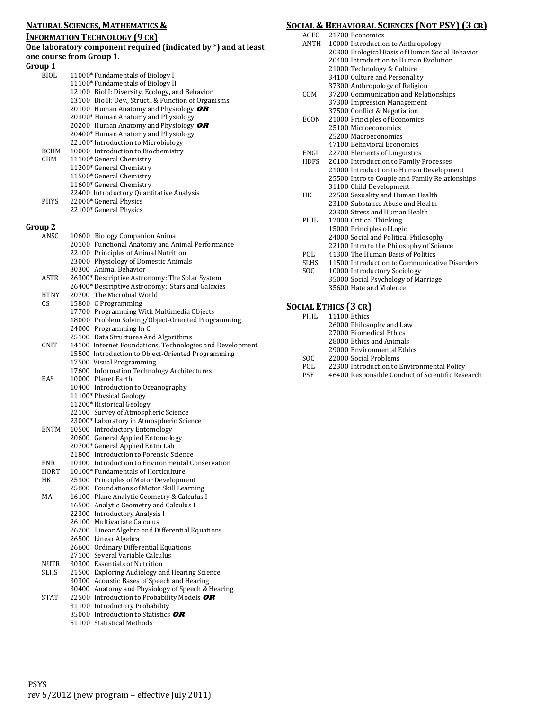#### **NATURAL SCIENCES, MATHEMATICS &**

#### **INFORMATION TECHNOLOGY (9 CR)**

#### **One laboratory component required (indicated by \*) and at least one course from Group 1.**

#### **Group 1**

| <u>Group 1</u> |                                                      |
|----------------|------------------------------------------------------|
| BIOL           | 11000* Fundamentals of Biology I                     |
|                | 11100* Fundamentals of Biology II                    |
|                | 12100 Biol I: Diversity, Ecology, and Behavior       |
|                | 13100 Bio II: Dev., Struct., & Function of Organisms |
|                | 20100 Human Anatomy and Physiology OR                |
|                | 20300* Human Anatomy and Physiology                  |
|                | 20200 Human Anatomy and Physiology OR                |
|                | 20400* Human Anatomy and Physiology                  |
|                | 22100* Introduction to Microbiology                  |
| <b>BCHM</b>    | 10000 Introduction to Biochemistry                   |
| CHM            | 11100* General Chemistry                             |
|                | 11200* General Chemistry                             |
|                | 11500* General Chemistry                             |
|                | 11600* General Chemistry                             |
|                | 22400 Introductory Quantitative Analysis             |
| <b>PHYS</b>    | 22000* General Physics                               |
|                | 22100* General Physics                               |
| <u>Group 2</u> |                                                      |
| ANSC.          | 10600 Biology Companion Animal                       |
|                | 20100 Functional Anatomy and Animal Performance      |
|                | 22100 Principles of Animal Nutrition                 |
|                | 23000 Physiology of Domestic Animals                 |
|                | 30300 Animal Behavior                                |
| <b>ASTR</b>    | 26300* Descriptive Astronomy: The Solar System       |
|                | 26400* Descriptive Astronomy: Stars and Galaxies     |
|                |                                                      |

- BTNY 20700 The Microbial World CS 15800 C Programming
- 17700 Programming With Multimedia Objects
- 18000 Problem Solving/Object-Oriented Programming
- 24000 Programming In C
- 25100 Data Structures And Algorithms
- CNIT 14100 Internet Foundations, Technologies and Development 15500 Introduction to Object-Oriented Programming 17500 Visual Programming
- 17600 Information Technology Architectures EAS 10000 Planet Earth 10400 Introduction to Oceanography 11100\* Physical Geology
	- 11200\*Historical Geology
	- 22100 Survey of Atmospheric Science
	- 23000\* Laboratory in Atmospheric Science
- ENTM 10500 Introductory Entomology
- 20600 General Applied Entomology
- 20700\* General Applied Entm Lab
- 21800 Introduction to Forensic Science
- FNR 10300 Introduction to Environmental Conservation<br>HORT 10100\* Fundamentals of Horticulture
- HORT 10100\* Fundamentals of Horticulture<br>HK 25300 Principles of Motor Development
	- 25300 Principles of Motor Development
- 25800 Foundations of Motor Skill Learning MA 16100 Plane Analytic Geometry & Calculus I
	- 16500 Analytic Geometry and Calculus I
		- 22300 Introductory Analysis I
	- 26100 Multivariate Calculus
	- 26200 Linear Algebra and Differential Equations
	- 26500 Linear Algebra
	- 26600 Ordinary Differential Equations
- 27100 Several Variable Calculus
- NUTR 30300 Essentials of Nutrition<br>SLHS 21500 Exploring Audiology are 21500 Exploring Audiology and Hearing Science 30300 Acoustic Bases of Speech and Hearing 30400 Anatomy and Physiology of Speech & Hearing
- STAT 22500 Introduction to Probability Models **OR**
	- 31100 Introductory Probability
	- 35000 Introduction to Statistics **OR** 51100 Statistical Methods

**SOCIAL & BEHAVIORAL SCIENCES (NOT PSY) (3 CR)**

|             | JCIAL & BEHAVIORAL SCIENCES (NOT PSY) (3 CR     |
|-------------|-------------------------------------------------|
| AGEC        | 21700 Economics                                 |
| <b>ANTH</b> | 10000 Introduction to Anthropology              |
|             | 20300 Biological Basis of Human Social Behavior |
|             | 20400 Introduction to Human Evolution           |
|             | 21000 Technology & Culture                      |
|             | 34100 Culture and Personality                   |
|             | 37300 Anthropology of Religion                  |
| COM         | 37200 Communication and Relationships           |
|             | 37300 Impression Management                     |
|             | 37500 Conflict & Negotiation                    |
| ECON        | 21000 Principles of Economics                   |
|             | 25100 Microeconomics                            |
|             | 25200 Macroeconomics                            |
|             | 47100 Behavioral Economics                      |
| ENGL        | 22700 Elements of Linguistics                   |
| HDFS        | 20100 Introduction to Family Processes          |
|             | 21000 Introduction to Human Development         |
|             | 25500 Intro to Couple and Family Relationships  |
|             | 31100 Child Development                         |
| HK          | 22500 Sexuality and Human Health                |
|             | 23100 Substance Abuse and Health                |
|             | 23300 Stress and Human Health                   |
| PHIL        | 12000 Critical Thinking                         |
|             | 15000 Principles of Logic                       |
|             | 24000 Social and Political Philosophy           |
|             | 22100 Intro to the Philosophy of Science        |
| POL.        | 41300 The Human Basis of Politics               |
| <b>SLHS</b> | 11500 Introduction to Communicative Disorders   |
| <b>SOC</b>  | 10000 Introductory Sociology                    |
|             | 35000 Social Psychology of Marriage             |
|             | 35600 Hate and Violence                         |

#### **SOCIAL ETHICS (3 CR)**

| PHIL.      | 11100 Ethics                                     |
|------------|--------------------------------------------------|
|            | 26000 Philosophy and Law                         |
|            | 27000 Biomedical Ethics                          |
|            | 28000 Ethics and Animals                         |
|            | 29000 Environmental Ethics                       |
| SOC.       | 22000 Social Problems                            |
| POL        | 22300 Introduction to Environmental Policy       |
| <b>PSY</b> | 46400 Responsible Conduct of Scientific Research |
|            |                                                  |